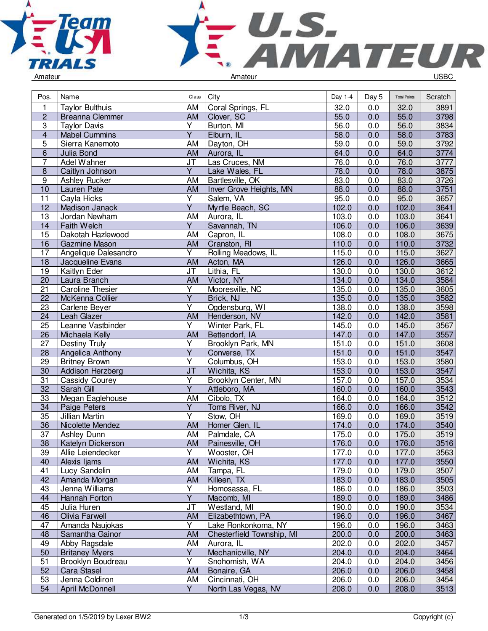



| Pos.            | Name                    | Class                             | City                      | Day 1-4 | Day 5 | <b>Total Points</b> | Scratch          |
|-----------------|-------------------------|-----------------------------------|---------------------------|---------|-------|---------------------|------------------|
| 1               | <b>Taylor Bulthuis</b>  | AM                                | Coral Springs, FL         | 32.0    | 0.0   | 32.0                | 3891             |
| $\overline{c}$  | Breanna Clemmer         | AM                                | Clover, SC                | 55.0    | 0.0   | 55.0                | 3798             |
| $\overline{3}$  | <b>Taylor Davis</b>     | Y                                 | Burton, MI                | 56.0    | 0.0   | 56.0                | 3834             |
| 4               | <b>Mabel Cummins</b>    | $\overline{\mathsf{Y}}$           | Elburn, IL                | 58.0    | 0.0   | 58.0                | 3783             |
| 5               | Sierra Kanemoto         | AM                                | Dayton, OH                | 59.0    | 0.0   | 59.0                | 3792             |
| 6               | Julia Bond              | AM                                | Aurora, IL                | 64.0    | 0.0   | 64.0                | 3774             |
| $\overline{7}$  | Adel Wahner             | $\overline{\mathsf{J}\mathsf{T}}$ | Las Cruces, NM            | 76.0    | 0.0   | 76.0                | 3777             |
| $\overline{8}$  | Caitlyn Johnson         | $\overline{Y}$                    | Lake Wales, FL            | 78.0    | 0.0   | 78.0                | 3875             |
| 9               | Ashley Rucker           | AM                                | Bartlesville, OK          | 83.0    | 0.0   | 83.0                | 3726             |
| 10              | Lauren Pate             | <b>AM</b>                         | Inver Grove Heights, MN   | 88.0    | 0.0   | 88.0                | 3751             |
| 11              | Cayla Hicks             | Υ                                 | Salem, VA                 | 95.0    | 0.0   | 95.0                | 3657             |
| 12              | Madison Janack          | $\overline{Y}$                    | Myrtle Beach, SC          | 102.0   | 0.0   | 102.0               | 3641             |
| $\overline{13}$ | Jordan Newham           | AM                                | Aurora, IL                | 103.0   | 0.0   | 103.0               | 3641             |
| 14              | Faith Welch             | $\overline{Y}$                    | Savannah, TN              | 106.0   | 0.0   | 106.0               | 3639             |
| 15              | Dakotah Hazlewood       | AM                                | Capron, IL                | 108.0   | 0.0   | 108.0               | 3675             |
| 16              | Gazmine Mason           | AM                                | Cranston, RI              | 110.0   | 0.0   | 110.0               | 3732             |
| 17              | Angelique Dalesandro    | $\overline{Y}$                    | Rolling Meadows, IL       | 115.0   | 0.0   | 115.0               | 3627             |
| 18              | Jacqueline Evans        | AM                                | Acton, MA                 | 126.0   | 0.0   | 126.0               | 3665             |
| 19              | Kaitlyn Eder            | <b>JT</b>                         | Lithia, FL                | 130.0   | 0.0   | 130.0               | $\frac{1}{3612}$ |
| 20              | Laura Branch            | <b>AM</b>                         | Victor, NY                | 134.0   | 0.0   | 134.0               | 3584             |
| 21              | <b>Caroline Thesier</b> | Y                                 | Mooresville, NC           | 135.0   | 0.0   | 135.0               | 3605             |
| 22              | McKenna Collier         | $\overline{Y}$                    | Brick, NJ                 | 135.0   | 0.0   | 135.0               | 3582             |
| 23              | Carlene Beyer           | Y                                 | Ogdensburg, WI            | 138.0   | 0.0   | 138.0               | 3598             |
| 24              | <b>Leah Glazer</b>      | <b>AM</b>                         | Henderson, NV             | 142.0   | 0.0   | 142.0               | 3581             |
| 25              | Leanne Vastbinder       | $\overline{\mathsf{Y}}$           | Winter Park, FL           | 145.0   | 0.0   | 145.0               | 3567             |
| 26              | Michaela Kelly          | <b>AM</b>                         | Bettendorf, IA            | 147.0   | 0.0   | 147.0               | 3557             |
| 27              | Destiny Truly           | $\overline{Y}$                    | Brooklyn Park, MN         | 151.0   | 0.0   | 151.0               | 3608             |
| 28              | Angelica Anthony        | $\overline{Y}$                    | Converse, TX              | 151.0   | 0.0   | 151.0               | 3547             |
| 29              | <b>Britney Brown</b>    | Υ                                 | Columbus, OH              | 153.0   | 0.0   | 153.0               | 3580             |
| 30              | Addison Herzberg        | J <sub>T</sub>                    | Wichita, KS               | 153.0   | 0.0   | 153.0               | 3547             |
| 31              | Cassidy Courey          | Υ                                 | Brooklyn Center, MN       | 157.0   | 0.0   | 157.0               | 3534             |
| 32              | Sarah Gill              | $\overline{Y}$                    | Attleboro, MA             | 160.0   | 0.0   | 160.0               | 3543             |
| 33              | Megan Eaglehouse        | AM                                | Cibolo, TX                | 164.0   | 0.0   | 164.0               | 3512             |
| 34              | Paige Peters            | $\overline{Y}$                    | Toms River, NJ            | 166.0   | 0.0   | 166.0               | 3542             |
| 35              | Jillian Martin          | $\overline{\mathsf{Y}}$           | Stow, OH                  | 169.0   | 0.0   | 169.0               | $\frac{1}{3519}$ |
| 36              | Nicolette Mendez        | <b>AM</b>                         | Homer Glen, IL            | 174.0   | 0.0   | 174.0               | 3540             |
| 37              | Ashley Dunn             | AM                                | Palmdale, CA              | 175.0   | 0.0   | 175.0               | 3519             |
| $\overline{38}$ | Katelyn Dickerson       | AM                                | Painesville, OH           | 176.0   | 0.0   | 176.0               | 3516             |
| 39              | Allie Leiendecker       | Y                                 | Wooster, OH               | 177.0   | 0.0   | 177.0               | 3563             |
| 40              | Alexis Ijams            | AM                                | Wichita, KS               | 177.0   | 0.0   | 177.0               | 3550             |
| 41              | Lucy Sandelin           | AM                                | Tampa, FL                 | 179.0   | 0.0   | 179.0               | 3507             |
| 42              | Amanda Morgan           | AM                                | Killeen, TX               | 183.0   | 0.0   | 183.0               | 3505             |
| 43              | Jenna Williams          | Y                                 | Homosassa, FL             | 186.0   | 0.0   | 186.0               | 3503             |
| 44              | Hannah Forton           | $\overline{Y}$                    | Macomb, MI                | 189.0   | 0.0   | 189.0               | 3486             |
| 45              | Julia Huren             | JT                                | Westland, MI              | 190.0   | 0.0   | 190.0               | 3534             |
| 46              | Olivia Farwell          | AM                                | Elizabethtown, PA         | 196.0   | 0.0   | 196.0               | 3467             |
| 47              | Amanda Naujokas         | Y                                 | Lake Ronkonkoma, NY       | 196.0   | 0.0   | 196.0               | 3463             |
| 48              | Samantha Gainor         | AM                                | Chesterfield Township, MI | 200.0   | 0.0   | 200.0               | 3463             |
| 49              | Abby Ragsdale           | AM                                | Aurora, IL                | 202.0   | 0.0   | 202.0               | 3457             |
| 50              | <b>Britaney Myers</b>   | Y                                 | Mechanicville, NY         | 204.0   | 0.0   | 204.0               | 3464             |
| 51              | Brooklyn Boudreau       | Y                                 | Snohomish, WA             | 204.0   | 0.0   | 204.0               | 3456             |
| 52              | Cara Stasel             | AM                                | Bonaire, GA               | 206.0   | 0.0   | 206.0               | 3458             |
| 53              | Jenna Coldiron          | AM                                | Cincinnati, OH            | 206.0   | 0.0   | 206.0               | 3454             |
| 54              | April McDonnell         | $\overline{Y}$                    | North Las Vegas, NV       | 208.0   | 0.0   | 208.0               | 3513             |
|                 |                         |                                   |                           |         |       |                     |                  |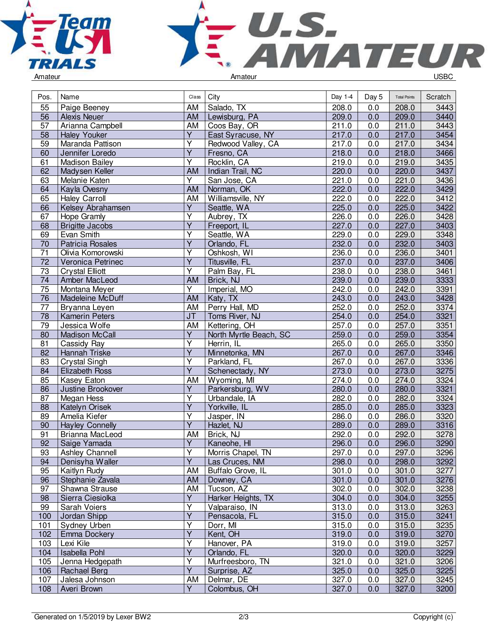



| Pos.            | Name                    | Class                             | City                   | Day 1-4 | Day 5 | <b>Total Points</b> | Scratch |
|-----------------|-------------------------|-----------------------------------|------------------------|---------|-------|---------------------|---------|
| 55              | Paige Beeney            | AM                                | Salado, TX             | 208.0   | 0.0   | 208.0               | 3443    |
| 56              | <b>Alexis Neuer</b>     | AM                                | Lewisburg, PA          | 209.0   | 0.0   | 209.0               | 3440    |
| 57              | Arianna Campbell        | AM                                | Coos Bay, OR           | 211.0   | 0.0   | 211.0               | 3443    |
| 58              | <b>Haley Youker</b>     | $\overline{Y}$                    | East Syracuse, NY      | 217.0   | 0.0   | 217.0               | 3454    |
| 59              | Maranda Pattison        | $\overline{\mathsf{Y}}$           | Redwood Valley, CA     | 217.0   | 0.0   | 217.0               | 3434    |
| 60              | Jennifer Loredo         | Ÿ                                 | Fresno, CA             | 218.0   | 0.0   | 218.0               | 3466    |
| 61              | <b>Madison Bailey</b>   | $\overline{\mathsf{Y}}$           | Rocklin, CA            | 219.0   | 0.0   | 219.0               | 3435    |
| 62              | Madysen Keller          | AM                                | Indian Trail, NC       | 220.0   | 0.0   | 220.0               | 3437    |
| 63              | Melanie Katen           | $\overline{Y}$                    | San Jose, CA           | 221.0   | 0.0   | 221.0               | 3436    |
| 64              | Kayla Ovesny            | AM                                | Norman, OK             | 222.0   | 0.0   | 222.0               | 3429    |
| 65              | <b>Haley Carroll</b>    | AM                                | Williamsville, NY      | 222.0   | 0.0   | 222.0               | 3412    |
| 66              | Kelsey Abrahamsen       | $\overline{Y}$                    | Seattle, WA            | 225.0   | 0.0   | 225.0               | 3422    |
| 67              | Hope Gramly             | Y                                 | Aubrey, TX             | 226.0   | 0.0   | 226.0               | 3428    |
| 68              | <b>Brigitte Jacobs</b>  | Ÿ                                 | Freeport, IL           | 227.0   | 0.0   | 227.0               | 3403    |
| 69              | Evan Smith              | $\overline{\mathsf{Y}}$           | Seattle, WA            | 229.0   | 0.0   | 229.0               | 3348    |
| 70              | <b>Patricia Rosales</b> | Ÿ                                 | Orlando, FL            | 232.0   | 0.0   | 232.0               | 3403    |
| $\overline{71}$ | Olivia Komorowski       | $\overline{\mathsf{Y}}$           | Oshkosh, WI            | 236.0   | 0.0   | 236.0               | 3401    |
| $\overline{72}$ | Veronica Petrinec       | $\overline{\mathsf{Y}}$           | Titusville, FL         | 237.0   | 0.0   | 237.0               | 3406    |
| 73              | <b>Crystal Elliott</b>  | $\overline{Y}$                    | Palm Bay, FL           | 238.0   | 0.0   | 238.0               | 3461    |
| 74              | Amber MacLeod           | AM                                | Brick, NJ              | 239.0   | 0.0   | 239.0               | 3333    |
| 75              | Montana Meyer           | Υ                                 | Imperial, MO           | 242.0   | 0.0   | 242.0               | 3391    |
| 76              | Madeleine McDuff        | <b>AM</b>                         | Katy, TX               | 243.0   | 0.0   | 243.0               | 3428    |
| $\overline{77}$ | Bryanna Leyen           | AM                                | Perry Hall, MD         | 252.0   | 0.0   | 252.0               | 3374    |
| $\overline{78}$ | <b>Kamerin Peters</b>   | $\overline{\mathsf{J}\mathsf{T}}$ | Toms River, NJ         | 254.0   | 0.0   | 254.0               | 3321    |
| 79              | Jessica Wolfe           | AM                                | Kettering, OH          | 257.0   | 0.0   | 257.0               | 3351    |
| 80              | Madison McCall          | $\overline{\mathsf{Y}}$           | North Myrtle Beach, SC | 259.0   | 0.0   | 259.0               | 3354    |
| 81              | Cassidy Ray             | Y                                 | Herrin, IL             | 265.0   | 0.0   | 265.0               | 3350    |
| 82              | Hannah Triske           | $\overline{Y}$                    | Minnetonka, MN         | 267.0   | 0.0   | 267.0               | 3346    |
| 83              | <b>Crystal Singh</b>    | Ÿ                                 | Parkland, FL           | 267.0   | 0.0   | 267.0               | 3336    |
| 84              | <b>Elizabeth Ross</b>   | $\overline{Y}$                    | Schenectady, NY        | 273.0   | 0.0   | 273.0               | 3275    |
| 85              | Kasey Eaton             | AM                                | Wyoming, MI            | 274.0   | 0.0   | 274.0               | 3324    |
| 86              | Justine Brookover       | Υ                                 | Parkersburg, WV        | 280.0   | 0.0   | 280.0               | 3321    |
| 87              | Megan Hess              | Y                                 | Urbandale, IA          | 282.0   | 0.0   | 282.0               | 3324    |
| 88              | Katelyn Orisek          | $\overline{\mathsf{Y}}$           | Yorkville, IL          | 285.0   | 0.0   | 285.0               | 3323    |
| 89              | Amelia Kiefer           | $\overline{\mathsf{Y}}$           | Jasper, IN             | 286.0   | 0.0   | 286.0               | 3320    |
| 90              | <b>Hayley Connelly</b>  | Ÿ                                 | Hazlet, NJ             | 289.0   | 0.0   | 289.0               | 3316    |
| 91              | Brianna MacLeod         | AM                                | Brick, NJ              | 292.0   | 0.0   | 292.0               | 3278    |
| 92              | Saige Yamada            | $\overline{Y}$                    | Kaneohe, HI            | 296.0   | 0.0   | 296.0               | 3290    |
| 93              | Ashley Channell         | Υ                                 | Morris Chapel, TN      | 297.0   | 0.0   | 297.0               | 3296    |
| 94              | Denisyha Waller         | $\overline{Y}$                    | Las Cruces, NM         | 298.0   | 0.0   | 298.0               | 3292    |
| 95              | Kaitlyn Rudy            | AM                                | Buffalo Grove, IL      | 301.0   | 0.0   | 301.0               | 3277    |
| 96              | Stephanie Zavala        | AM                                | Downey, CA             | 301.0   | 0.0   | 301.0               | 3276    |
| 97              | Shawna Strause          | AM                                | Tucson, AZ             | 302.0   | 0.0   | 302.0               | 3238    |
| 98              | Sierra Ciesiolka        | $\overline{Y}$                    | Harker Heights, TX     | 304.0   | 0.0   | 304.0               | 3255    |
| 99              | Sarah Voiers            | Y                                 | Valparaiso, IN         | 313.0   | 0.0   | 313.0               | 3263    |
| 100             | Jordan Shipp            | $\overline{Y}$                    | Pensacola, FL          | 315.0   | 0.0   | 315.0               | 3241    |
| 101             | Sydney Urben            | $\overline{\mathsf{Y}}$           | Dorr, MI               | 315.0   | 0.0   | 315.0               | 3235    |
| 102             | Emma Dockery            | $\overline{Y}$                    | Kent, OH               | 319.0   | 0.0   | 319.0               | 3270    |
| 103             | Lexi Kile               | Υ                                 | Hanover, PA            | 319.0   | 0.0   | 319.0               | 3257    |
| 104             | <b>Isabella Pohl</b>    | Y                                 | Orlando, FL            | 320.0   | 0.0   | 320.0               | 3229    |
| 105             | Jenna Hedgepath         | Υ                                 | Murfreesboro, TN       | 321.0   | 0.0   | 321.0               | 3206    |
| 106             | Rachael Berg            | $\overline{\mathsf{Y}}$           | Surprise, AZ           | 325.0   | 0.0   | 325.0               | 3225    |
| 107             | Jalesa Johnson          | AM                                | Delmar, DE             | 327.0   | 0.0   | 327.0               | 3245    |
| 108             | Averi Brown             | $\overline{Y}$                    | Colombus, OH           | 327.0   | 0.0   | 327.0               | 3200    |